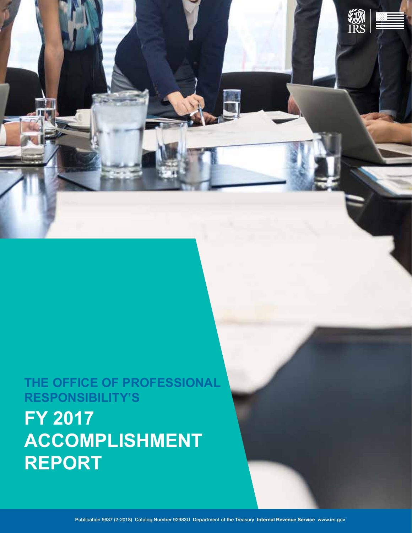# **RESPONSIBILITY'S FY 2017 ACCOMPLISHMENT REPORT**

# **THE OFFICE OF PROFESSIONAL**

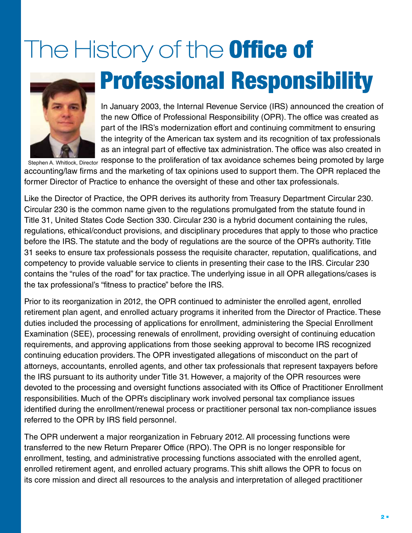# The History of the **Office of Professional Responsibility**



In January 2003, the Internal Revenue Service (IRS) announced the creation of the new Office of Professional Responsibility (OPR). The office was created as part of the IRS's modernization effort and continuing commitment to ensuring the integrity of the American tax system and its recognition of tax professionals as an integral part of effective tax administration. The office was also created in

Stephen A. Whitlock, Director response to the proliferation of tax avoidance schemes being promoted by large accounting/law firms and the marketing of tax opinions used to support them. The OPR replaced the former Director of Practice to enhance the oversight of these and other tax professionals.

Like the Director of Practice, the OPR derives its authority from Treasury Department Circular 230. Circular 230 is the common name given to the regulations promulgated from the statute found in Title 31, United States Code Section 330. Circular 230 is a hybrid document containing the rules, regulations, ethical/conduct provisions, and disciplinary procedures that apply to those who practice before the IRS. The statute and the body of regulations are the source of the OPR's authority. Title 31 seeks to ensure tax professionals possess the requisite character, reputation, qualifications, and competency to provide valuable service to clients in presenting their case to the IRS. Circular 230 contains the "rules of the road" for tax practice. The underlying issue in all OPR allegations/cases is the tax professional's "fitness to practice" before the IRS.

Prior to its reorganization in 2012, the OPR continued to administer the enrolled agent, enrolled retirement plan agent, and enrolled actuary programs it inherited from the Director of Practice. These duties included the processing of applications for enrollment, administering the Special Enrollment Examination (SEE), processing renewals of enrollment, providing oversight of continuing education requirements, and approving applications from those seeking approval to become IRS recognized continuing education providers. The OPR investigated allegations of misconduct on the part of attorneys, accountants, enrolled agents, and other tax professionals that represent taxpayers before the IRS pursuant to its authority under Title 31. However, a majority of the OPR resources were devoted to the processing and oversight functions associated with its Office of Practitioner Enrollment responsibilities. Much of the OPR's disciplinary work involved personal tax compliance issues identified during the enrollment/renewal process or practitioner personal tax non-compliance issues referred to the OPR by IRS field personnel.

The OPR underwent a major reorganization in February 2012. All processing functions were transferred to the new Return Preparer Office (RPO). The OPR is no longer responsible for enrollment, testing, and administrative processing functions associated with the enrolled agent, enrolled retirement agent, and enrolled actuary programs. This shift allows the OPR to focus on its core mission and direct all resources to the analysis and interpretation of alleged practitioner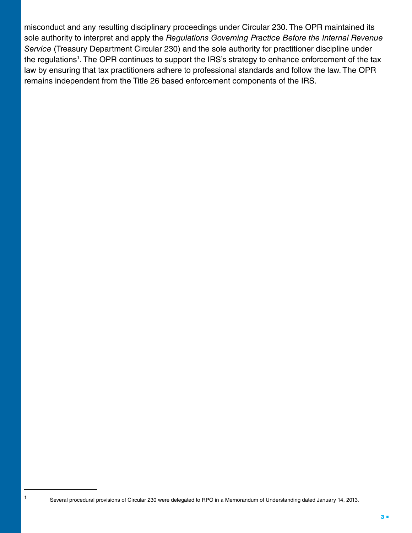misconduct and any resulting disciplinary proceedings under Circular 230. The OPR maintained its sole authority to interpret and apply the *Regulations Governing Practice Before the Internal Revenue Service* (Treasury Department Circular 230) and the sole authority for practitioner discipline under the regulations<sup>1</sup>. The OPR continues to support the IRS's strategy to enhance enforcement of the tax law by ensuring that tax practitioners adhere to professional standards and follow the law. The OPR remains independent from the Title 26 based enforcement components of the IRS.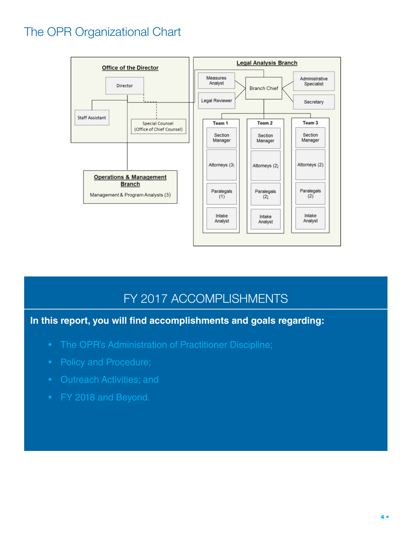# The OPR Organizational Chart



## FY 2017 ACCOMPLISHMENTS

**In this report, you will find accomplishments and goals regarding:** 

- The OPR's Administration of Practitioner Discipline;
- Policy and Procedure;
- 
- FY 2018 and Beyond.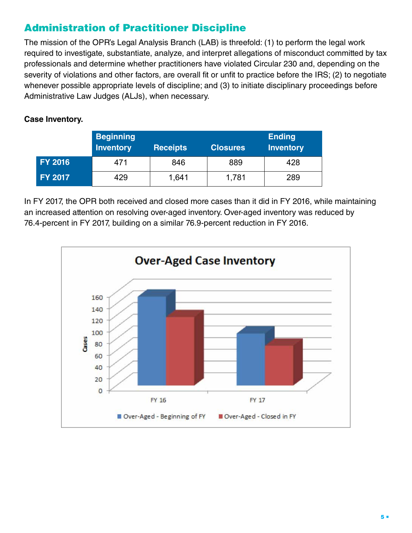### Administration of Practitioner Discipline

The mission of the OPR's Legal Analysis Branch (LAB) is threefold: (1) to perform the legal work required to investigate, substantiate, analyze, and interpret allegations of misconduct committed by tax professionals and determine whether practitioners have violated Circular 230 and, depending on the severity of violations and other factors, are overall fit or unfit to practice before the IRS; (2) to negotiate whenever possible appropriate levels of discipline; and (3) to initiate disciplinary proceedings before Administrative Law Judges (ALJs), when necessary.

#### **Case Inventory.**

|                | <b>Beginning</b><br><b>Inventory</b> | <b>Receipts</b> | <b>Closures</b> | <b>Ending</b><br><b>Inventory</b> |
|----------------|--------------------------------------|-----------------|-----------------|-----------------------------------|
| <b>FY 2016</b> | 471                                  | 846             | 889             | 428                               |
| <b>FY 2017</b> | 429                                  | 1,641           | 1,781           | 289                               |

In FY 2017, the OPR both received and closed more cases than it did in FY 2016, while maintaining an increased attention on resolving over-aged inventory. Over-aged inventory was reduced by 76.4-percent in FY 2017, building on a similar 76.9-percent reduction in FY 2016.

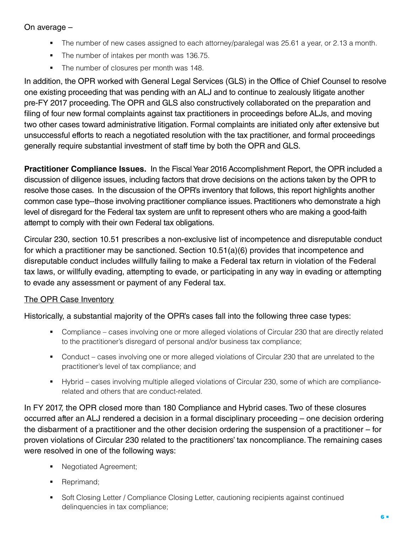#### On average –

- The number of new cases assigned to each attorney/paralegal was 25.61 a year, or 2.13 a month.
- The number of intakes per month was 136.75.
- The number of closures per month was 148.

In addition, the OPR worked with General Legal Services (GLS) in the Office of Chief Counsel to resolve one existing proceeding that was pending with an ALJ and to continue to zealously litigate another pre-FY 2017 proceeding. The OPR and GLS also constructively collaborated on the preparation and filing of four new formal complaints against tax practitioners in proceedings before ALJs, and moving two other cases toward administrative litigation. Formal complaints are initiated only after extensive but unsuccessful efforts to reach a negotiated resolution with the tax practitioner, and formal proceedings generally require substantial investment of staff time by both the OPR and GLS.

 attempt to comply with their own Federal tax obligations. **Practitioner Compliance Issues.** In the Fiscal Year 2016 Accomplishment Report, the OPR included a discussion of diligence issues, including factors that drove decisions on the actions taken by the OPR to resolve those cases. In the discussion of the OPR's inventory that follows, this report highlights another common case type--those involving practitioner compliance issues. Practitioners who demonstrate a high level of disregard for the Federal tax system are unfit to represent others who are making a good-faith

Circular 230, section 10.51 prescribes a non-exclusive list of incompetence and disreputable conduct for which a practitioner may be sanctioned. Section 10.51(a)(6) provides that incompetence and disreputable conduct includes willfully failing to make a Federal tax return in violation of the Federal tax laws, or willfully evading, attempting to evade, or participating in any way in evading or attempting to evade any assessment or payment of any Federal tax.

#### The OPR Case Inventory

Historically, a substantial majority of the OPR's cases fall into the following three case types:

- Compliance cases involving one or more alleged violations of Circular 230 that are directly related to the practitioner's disregard of personal and/or business tax compliance;
- Conduct cases involving one or more alleged violations of Circular 230 that are unrelated to the practitioner's level of tax compliance; and
- § Hybrid cases involving multiple alleged violations of Circular 230, some of which are compliancerelated and others that are conduct-related.

In FY 2017, the OPR closed more than 180 Compliance and Hybrid cases. Two of these closures occurred after an ALJ rendered a decision in a formal disciplinary proceeding – one decision ordering the disbarment of a practitioner and the other decision ordering the suspension of a practitioner – for proven violations of Circular 230 related to the practitioners' tax noncompliance. The remaining cases were resolved in one of the following ways:

- Negotiated Agreement;
- Reprimand;
- Soft Closing Letter / Compliance Closing Letter, cautioning recipients against continued delinquencies in tax compliance;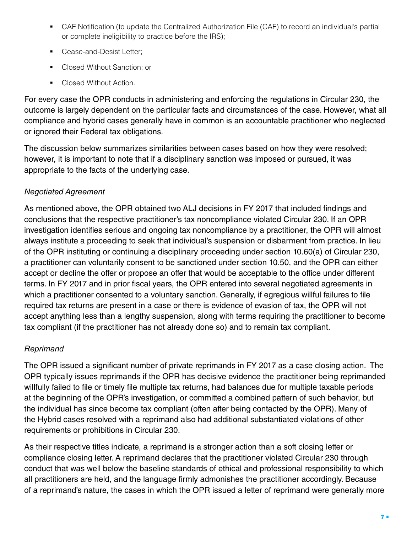- CAF Notification (to update the Centralized Authorization File (CAF) to record an individual's partial or complete ineligibility to practice before the IRS);
- Cease-and-Desist Letter;
- Closed Without Sanction; or
- Closed Without Action.

 or ignored their Federal tax obligations. For every case the OPR conducts in administering and enforcing the regulations in Circular 230, the outcome is largely dependent on the particular facts and circumstances of the case. However, what all compliance and hybrid cases generally have in common is an accountable practitioner who neglected

 appropriate to the facts of the underlying case. The discussion below summarizes similarities between cases based on how they were resolved; however, it is important to note that if a disciplinary sanction was imposed or pursued, it was

#### *Negotiated Agreement*

 tax compliant (if the practitioner has not already done so) and to remain tax compliant. As mentioned above, the OPR obtained two ALJ decisions in FY 2017 that included findings and conclusions that the respective practitioner's tax noncompliance violated Circular 230. If an OPR investigation identifies serious and ongoing tax noncompliance by a practitioner, the OPR will almost always institute a proceeding to seek that individual's suspension or disbarment from practice. In lieu of the OPR instituting or continuing a disciplinary proceeding under section 10.60(a) of Circular 230, a practitioner can voluntarily consent to be sanctioned under section 10.50, and the OPR can either accept or decline the offer or propose an offer that would be acceptable to the office under different terms. In FY 2017 and in prior fiscal years, the OPR entered into several negotiated agreements in which a practitioner consented to a voluntary sanction. Generally, if egregious willful failures to file required tax returns are present in a case or there is evidence of evasion of tax, the OPR will not accept anything less than a lengthy suspension, along with terms requiring the practitioner to become

#### *Reprimand*

 The OPR issued a significant number of private reprimands in FY 2017 as a case closing action. The OPR typically issues reprimands if the OPR has decisive evidence the practitioner being reprimanded willfully failed to file or timely file multiple tax returns, had balances due for multiple taxable periods at the beginning of the OPR's investigation, or committed a combined pattern of such behavior, but the individual has since become tax compliant (often after being contacted by the OPR). Many of the Hybrid cases resolved with a reprimand also had additional substantiated violations of other requirements or prohibitions in Circular 230.

As their respective titles indicate, a reprimand is a stronger action than a soft closing letter or compliance closing letter. A reprimand declares that the practitioner violated Circular 230 through conduct that was well below the baseline standards of ethical and professional responsibility to which all practitioners are held, and the language firmly admonishes the practitioner accordingly. Because of a reprimand's nature, the cases in which the OPR issued a letter of reprimand were generally more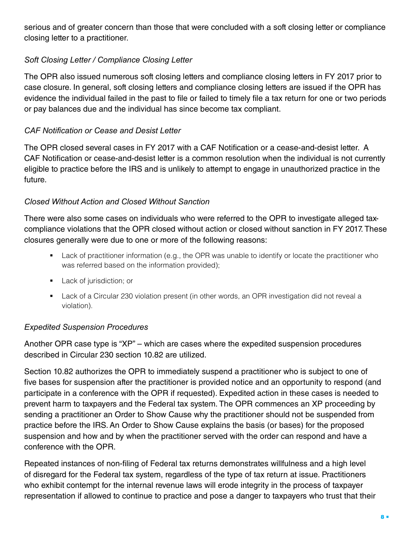serious and of greater concern than those that were concluded with a soft closing letter or compliance closing letter to a practitioner.

#### *Soft Closing Letter / Compliance Closing Letter*

The OPR also issued numerous soft closing letters and compliance closing letters in FY 2017 prior to case closure. In general, soft closing letters and compliance closing letters are issued if the OPR has evidence the individual failed in the past to file or failed to timely file a tax return for one or two periods or pay balances due and the individual has since become tax compliant.

#### *CAF Notification or Cease and Desist Letter*

 The OPR closed several cases in FY 2017 with a CAF Notification or a cease-and-desist letter. A future. CAF Notification or cease-and-desist letter is a common resolution when the individual is not currently eligible to practice before the IRS and is unlikely to attempt to engage in unauthorized practice in the

#### *Closed Without Action and Closed Without Sanction*

There were also some cases on individuals who were referred to the OPR to investigate alleged taxcompliance violations that the OPR closed without action or closed without sanction in FY 2017. These closures generally were due to one or more of the following reasons:

- Lack of practitioner information (e.g., the OPR was unable to identify or locate the practitioner who was referred based on the information provided);
- Lack of jurisdiction; or
- Lack of a Circular 230 violation present (in other words, an OPR investigation did not reveal a violation).

#### *Expedited Suspension Procedures*

described in Circular 230 section 10.82 are utilized. Another OPR case type is "XP" – which are cases where the expedited suspension procedures

Section 10.82 authorizes the OPR to immediately suspend a practitioner who is subject to one of five bases for suspension after the practitioner is provided notice and an opportunity to respond (and participate in a conference with the OPR if requested). Expedited action in these cases is needed to prevent harm to taxpayers and the Federal tax system. The OPR commences an XP proceeding by sending a practitioner an Order to Show Cause why the practitioner should not be suspended from practice before the IRS. An Order to Show Cause explains the basis (or bases) for the proposed suspension and how and by when the practitioner served with the order can respond and have a conference with the OPR.

Repeated instances of non-filing of Federal tax returns demonstrates willfulness and a high level of disregard for the Federal tax system, regardless of the type of tax return at issue. Practitioners who exhibit contempt for the internal revenue laws will erode integrity in the process of taxpayer representation if allowed to continue to practice and pose a danger to taxpayers who trust that their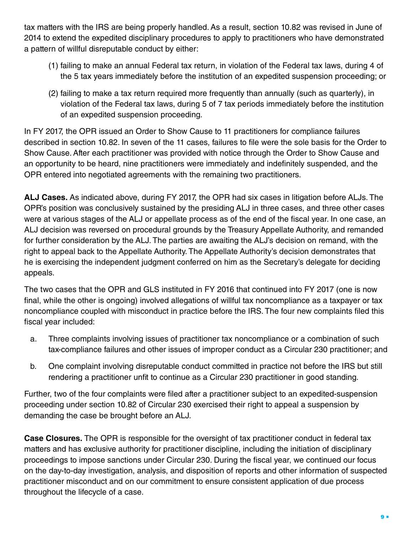tax matters with the IRS are being properly handled. As a result, section 10.82 was revised in June of 2014 to extend the expedited disciplinary procedures to apply to practitioners who have demonstrated a pattern of willful disreputable conduct by either:

- (1) failing to make an annual Federal tax return, in violation of the Federal tax laws, during 4 of the 5 tax years immediately before the institution of an expedited suspension proceeding; or
- (2) failing to make a tax return required more frequently than annually (such as quarterly), in violation of the Federal tax laws, during 5 of 7 tax periods immediately before the institution of an expedited suspension proceeding.

In FY 2017, the OPR issued an Order to Show Cause to 11 practitioners for compliance failures described in section 10.82. In seven of the 11 cases, failures to file were the sole basis for the Order to Show Cause. After each practitioner was provided with notice through the Order to Show Cause and an opportunity to be heard, nine practitioners were immediately and indefinitely suspended, and the OPR entered into negotiated agreements with the remaining two practitioners.

**ALJ Cases.** As indicated above, during FY 2017, the OPR had six cases in litigation before ALJs. The OPR's position was conclusively sustained by the presiding ALJ in three cases, and three other cases were at various stages of the ALJ or appellate process as of the end of the fiscal year. In one case, an ALJ decision was reversed on procedural grounds by the Treasury Appellate Authority, and remanded for further consideration by the ALJ. The parties are awaiting the ALJ's decision on remand, with the right to appeal back to the Appellate Authority. The Appellate Authority's decision demonstrates that he is exercising the independent judgment conferred on him as the Secretary's delegate for deciding appeals.

The two cases that the OPR and GLS instituted in FY 2016 that continued into FY 2017 (one is now final, while the other is ongoing) involved allegations of willful tax noncompliance as a taxpayer or tax noncompliance coupled with misconduct in practice before the IRS. The four new complaints filed this fiscal year included:

- a. Three complaints involving issues of practitioner tax noncompliance or a combination of such tax-compliance failures and other issues of improper conduct as a Circular 230 practitioner; and
- b. b. One complaint involving disreputable conduct committed in practice not before the IRS but still rendering a practitioner unfit to continue as a Circular 230 practitioner in good standing.

Further, two of the four complaints were filed after a practitioner subject to an expedited-suspension proceeding under section 10.82 of Circular 230 exercised their right to appeal a suspension by demanding the case be brought before an ALJ.

**Case Closures.** The OPR is responsible for the oversight of tax practitioner conduct in federal tax matters and has exclusive authority for practitioner discipline, including the initiation of disciplinary proceedings to impose sanctions under Circular 230. During the fiscal year, we continued our focus on the day-to-day investigation, analysis, and disposition of reports and other information of suspected practitioner misconduct and on our commitment to ensure consistent application of due process throughout the lifecycle of a case.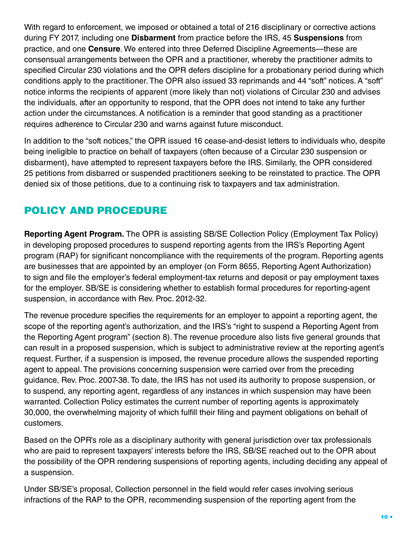conditions apply to the practitioner. The OPR also issued 33 reprimands and 44 "soft" notices. A "soft" With regard to enforcement, we imposed or obtained a total of 216 disciplinary or corrective actions during FY 2017, including one **Disbarment** from practice before the IRS, 45 **Suspensions** from practice, and one **Censure**. We entered into three Deferred Discipline Agreements—these are consensual arrangements between the OPR and a practitioner, whereby the practitioner admits to specified Circular 230 violations and the OPR defers discipline for a probationary period during which notice informs the recipients of apparent (more likely than not) violations of Circular 230 and advises the individuals, after an opportunity to respond, that the OPR does not intend to take any further action under the circumstances. A notification is a reminder that good standing as a practitioner requires adherence to Circular 230 and warns against future misconduct.

In addition to the "soft notices," the OPR issued 16 cease-and-desist letters to individuals who, despite being ineligible to practice on behalf of taxpayers (often because of a Circular 230 suspension or disbarment), have attempted to represent taxpayers before the IRS. Similarly, the OPR considered 25 petitions from disbarred or suspended practitioners seeking to be reinstated to practice. The OPR denied six of those petitions, due to a continuing risk to taxpayers and tax administration.

## POLICY AND PROCEDURE

**Reporting Agent Program.** The OPR is assisting SB/SE Collection Policy (Employment Tax Policy) in developing proposed procedures to suspend reporting agents from the IRS's Reporting Agent program (RAP) for significant noncompliance with the requirements of the program. Reporting agents are businesses that are appointed by an employer (on Form 8655, Reporting Agent Authorization) to sign and file the employer's federal employment-tax returns and deposit or pay employment taxes for the employer. SB/SE is considering whether to establish formal procedures for reporting-agent suspension, in accordance with Rev. Proc. 2012-32.

The revenue procedure specifies the requirements for an employer to appoint a reporting agent, the scope of the reporting agent's authorization, and the IRS's "right to suspend a Reporting Agent from the Reporting Agent program" (section 8). The revenue procedure also lists five general grounds that can result in a proposed suspension, which is subject to administrative review at the reporting agent's request. Further, if a suspension is imposed, the revenue procedure allows the suspended reporting agent to appeal. The provisions concerning suspension were carried over from the preceding guidance, Rev. Proc. 2007-38. To date, the IRS has not used its authority to propose suspension, or to suspend, any reporting agent, regardless of any instances in which suspension may have been warranted. Collection Policy estimates the current number of reporting agents is approximately 30,000, the overwhelming majority of which fulfill their filing and payment obligations on behalf of customers.

Based on the OPR's role as a disciplinary authority with general jurisdiction over tax professionals who are paid to represent taxpayers' interests before the IRS, SB/SE reached out to the OPR about the possibility of the OPR rendering suspensions of reporting agents, including deciding any appeal of a suspension.

Under SB/SE's proposal, Collection personnel in the field would refer cases involving serious infractions of the RAP to the OPR, recommending suspension of the reporting agent from the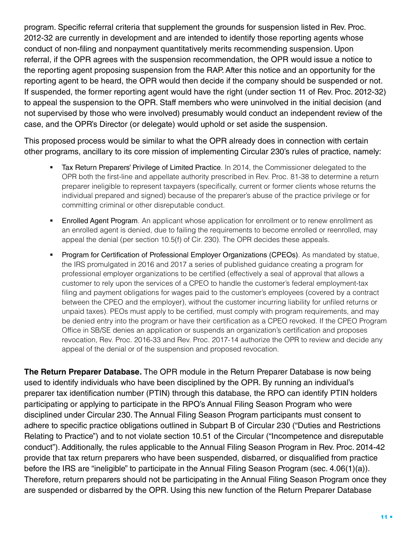program. Specific referral criteria that supplement the grounds for suspension listed in Rev. Proc. 2012-32 are currently in development and are intended to identify those reporting agents whose conduct of non-filing and nonpayment quantitatively merits recommending suspension. Upon referral, if the OPR agrees with the suspension recommendation, the OPR would issue a notice to the reporting agent proposing suspension from the RAP. After this notice and an opportunity for the reporting agent to be heard, the OPR would then decide if the company should be suspended or not. If suspended, the former reporting agent would have the right (under section 11 of Rev. Proc. 2012-32) to appeal the suspension to the OPR. Staff members who were uninvolved in the initial decision (and not supervised by those who were involved) presumably would conduct an independent review of the case, and the OPR's Director (or delegate) would uphold or set aside the suspension.

This proposed process would be similar to what the OPR already does in connection with certain other programs, ancillary to its core mission of implementing Circular 230's rules of practice, namely:

- Tax Return Preparers' Privilege of Limited Practice. In 2014, the Commissioner delegated to the OPR both the first-line and appellate authority prescribed in Rev. Proc. 81-38 to determine a return preparer ineligible to represent taxpayers (specifically, current or former clients whose returns the individual prepared and signed) because of the preparer's abuse of the practice privilege or for committing criminal or other disreputable conduct.
- **Enrolled Agent Program**. An applicant whose application for enrollment or to renew enrollment as an enrolled agent is denied, due to failing the requirements to become enrolled or reenrolled, may appeal the denial (per section 10.5(f) of Cir. 230). The OPR decides these appeals.
- § Program for Certification of Professional Employer Organizations (CPEOs). As mandated by statue, the IRS promulgated in 2016 and 2017 a series of published guidance creating a program for professional employer organizations to be certified (effectively a seal of approval that allows a customer to rely upon the services of a CPEO to handle the customer's federal employment-tax filing and payment obligations for wages paid to the customer's employees (covered by a contract between the CPEO and the employer), without the customer incurring liability for unfiled returns or unpaid taxes). PEOs must apply to be certified, must comply with program requirements, and may be denied entry into the program or have their certification as a CPEO revoked. If the CPEO Program Office in SB/SE denies an application or suspends an organization's certification and proposes revocation, Rev. Proc. 2016-33 and Rev. Proc. 2017-14 authorize the OPR to review and decide any appeal of the denial or of the suspension and proposed revocation.

**The Return Preparer Database.** The OPR module in the Return Preparer Database is now being used to identify individuals who have been disciplined by the OPR. By running an individual's preparer tax identification number (PTIN) through this database, the RPO can identify PTIN holders participating or applying to participate in the RPO's Annual Filing Season Program who were disciplined under Circular 230. The Annual Filing Season Program participants must consent to adhere to specific practice obligations outlined in Subpart B of Circular 230 ("Duties and Restrictions Relating to Practice") and to not violate section 10.51 of the Circular ("Incompetence and disreputable conduct"). Additionally, the rules applicable to the Annual Filing Season Program in Rev. Proc. 2014-42 provide that tax return preparers who have been suspended, disbarred, or disqualified from practice before the IRS are "ineligible" to participate in the Annual Filing Season Program (sec. 4.06(1)(a)). Therefore, return preparers should not be participating in the Annual Filing Season Program once they are suspended or disbarred by the OPR. Using this new function of the Return Preparer Database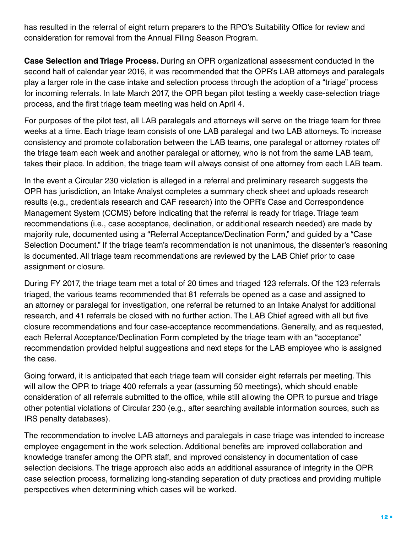has resulted in the referral of eight return preparers to the RPO's Suitability Office for review and consideration for removal from the Annual Filing Season Program.

 process, and the first triage team meeting was held on April 4. **Case Selection and Triage Process.** During an OPR organizational assessment conducted in the second half of calendar year 2016, it was recommended that the OPR's LAB attorneys and paralegals play a larger role in the case intake and selection process through the adoption of a "triage" process for incoming referrals. In late March 2017, the OPR began pilot testing a weekly case-selection triage

 takes their place. In addition, the triage team will always consist of one attorney from each LAB team. For purposes of the pilot test, all LAB paralegals and attorneys will serve on the triage team for three weeks at a time. Each triage team consists of one LAB paralegal and two LAB attorneys. To increase consistency and promote collaboration between the LAB teams, one paralegal or attorney rotates off the triage team each week and another paralegal or attorney, who is not from the same LAB team,

 assignment or closure. In the event a Circular 230 violation is alleged in a referral and preliminary research suggests the OPR has jurisdiction, an Intake Analyst completes a summary check sheet and uploads research results (e.g., credentials research and CAF research) into the OPR's Case and Correspondence Management System (CCMS) before indicating that the referral is ready for triage. Triage team recommendations (i.e., case acceptance, declination, or additional research needed) are made by majority rule, documented using a "Referral Acceptance/Declination Form," and guided by a "Case Selection Document." If the triage team's recommendation is not unanimous, the dissenter's reasoning is documented. All triage team recommendations are reviewed by the LAB Chief prior to case

 the case. During FY 2017, the triage team met a total of 20 times and triaged 123 referrals. Of the 123 referrals triaged, the various teams recommended that 81 referrals be opened as a case and assigned to an attorney or paralegal for investigation, one referral be returned to an Intake Analyst for additional research, and 41 referrals be closed with no further action. The LAB Chief agreed with all but five closure recommendations and four case-acceptance recommendations. Generally, and as requested, each Referral Acceptance/Declination Form completed by the triage team with an "acceptance" recommendation provided helpful suggestions and next steps for the LAB employee who is assigned

Going forward, it is anticipated that each triage team will consider eight referrals per meeting. This will allow the OPR to triage 400 referrals a year (assuming 50 meetings), which should enable consideration of all referrals submitted to the office, while still allowing the OPR to pursue and triage other potential violations of Circular 230 (e.g., after searching available information sources, such as IRS penalty databases).

 perspectives when determining which cases will be worked. The recommendation to involve LAB attorneys and paralegals in case triage was intended to increase employee engagement in the work selection. Additional benefits are improved collaboration and knowledge transfer among the OPR staff, and improved consistency in documentation of case selection decisions. The triage approach also adds an additional assurance of integrity in the OPR case selection process, formalizing long-standing separation of duty practices and providing multiple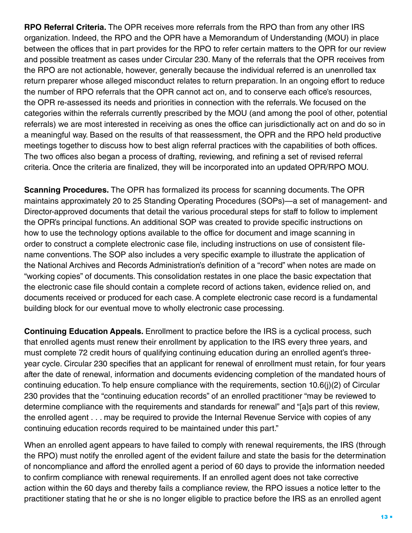**RPO Referral Criteria.** The OPR receives more referrals from the RPO than from any other IRS organization. Indeed, the RPO and the OPR have a Memorandum of Understanding (MOU) in place between the offices that in part provides for the RPO to refer certain matters to the OPR for our review and possible treatment as cases under Circular 230. Many of the referrals that the OPR receives from the RPO are not actionable, however, generally because the individual referred is an unenrolled tax return preparer whose alleged misconduct relates to return preparation. In an ongoing effort to reduce the number of RPO referrals that the OPR cannot act on, and to conserve each office's resources, the OPR re-assessed its needs and priorities in connection with the referrals. We focused on the categories within the referrals currently prescribed by the MOU (and among the pool of other, potential referrals) we are most interested in receiving as ones the office can jurisdictionally act on and do so in a meaningful way. Based on the results of that reassessment, the OPR and the RPO held productive meetings together to discuss how to best align referral practices with the capabilities of both offices. The two offices also began a process of drafting, reviewing, and refining a set of revised referral criteria. Once the criteria are finalized, they will be incorporated into an updated OPR/RPO MOU.

 building block for our eventual move to wholly electronic case processing. **Scanning Procedures.** The OPR has formalized its process for scanning documents. The OPR maintains approximately 20 to 25 Standing Operating Procedures (SOPs)—a set of management- and Director-approved documents that detail the various procedural steps for staff to follow to implement the OPR's principal functions. An additional SOP was created to provide specific instructions on how to use the technology options available to the office for document and image scanning in order to construct a complete electronic case file, including instructions on use of consistent filename conventions. The SOP also includes a very specific example to illustrate the application of the National Archives and Records Administration's definition of a "record" when notes are made on "working copies" of documents. This consolidation restates in one place the basic expectation that the electronic case file should contain a complete record of actions taken, evidence relied on, and documents received or produced for each case. A complete electronic case record is a fundamental

continuing education records required to be maintained under this part." **Continuing Education Appeals.** Enrollment to practice before the IRS is a cyclical process, such that enrolled agents must renew their enrollment by application to the IRS every three years, and must complete 72 credit hours of qualifying continuing education during an enrolled agent's threeyear cycle. Circular 230 specifies that an applicant for renewal of enrollment must retain, for four years after the date of renewal, information and documents evidencing completion of the mandated hours of continuing education. To help ensure compliance with the requirements, section 10.6(j)(2) of Circular 230 provides that the "continuing education records" of an enrolled practitioner "may be reviewed to determine compliance with the requirements and standards for renewal" and "[a]s part of this review, the enrolled agent . . . may be required to provide the Internal Revenue Service with copies of any

When an enrolled agent appears to have failed to comply with renewal requirements, the IRS (through the RPO) must notify the enrolled agent of the evident failure and state the basis for the determination of noncompliance and afford the enrolled agent a period of 60 days to provide the information needed to confirm compliance with renewal requirements. If an enrolled agent does not take corrective action within the 60 days and thereby fails a compliance review, the RPO issues a notice letter to the practitioner stating that he or she is no longer eligible to practice before the IRS as an enrolled agent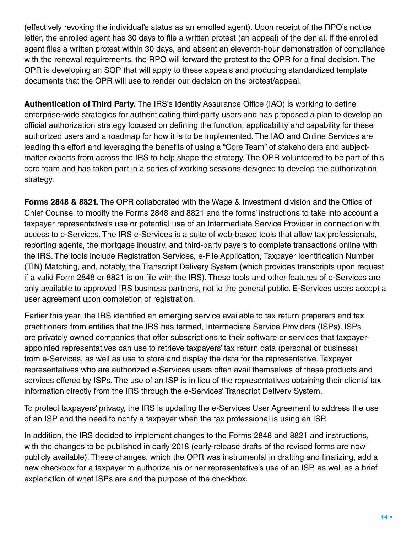(effectively revoking the individual's status as an enrolled agent). Upon receipt of the RPO's notice letter, the enrolled agent has 30 days to file a written protest (an appeal) of the denial. If the enrolled agent files a written protest within 30 days, and absent an eleventh-hour demonstration of compliance with the renewal requirements, the RPO will forward the protest to the OPR for a final decision. The OPR is developing an SOP that will apply to these appeals and producing standardized template documents that the OPR will use to render our decision on the protest/appeal.

**Authentication of Third Party.** The IRS's Identity Assurance Office (IAO) is working to define enterprise-wide strategies for authenticating third-party users and has proposed a plan to develop an official authorization strategy focused on defining the function, applicability and capability for these authorized users and a roadmap for how it is to be implemented. The IAO and Online Services are leading this effort and leveraging the benefits of using a "Core Team" of stakeholders and subjectmatter experts from across the IRS to help shape the strategy. The OPR volunteered to be part of this core team and has taken part in a series of working sessions designed to develop the authorization strategy.

**Forms 2848 & 8821.** The OPR collaborated with the Wage & Investment division and the Office of Chief Counsel to modify the Forms 2848 and 8821 and the forms' instructions to take into account a taxpayer representative's use or potential use of an Intermediate Service Provider in connection with access to e-Services. The IRS e-Services is a suite of web-based tools that allow tax professionals, reporting agents, the mortgage industry, and third-party payers to complete transactions online with the IRS. The tools include Registration Services, e-File Application, Taxpayer Identification Number (TIN) Matching, and, notably, the Transcript Delivery System (which provides transcripts upon request if a valid Form 2848 or 8821 is on file with the IRS). These tools and other features of e-Services are only available to approved IRS business partners, not to the general public. E-Services users accept a user agreement upon completion of registration.

Earlier this year, the IRS identified an emerging service available to tax return preparers and tax practitioners from entities that the IRS has termed, Intermediate Service Providers (ISPs). ISPs are privately owned companies that offer subscriptions to their software or services that taxpayerappointed representatives can use to retrieve taxpayers' tax return data (personal or business) from e-Services, as well as use to store and display the data for the representative. Taxpayer representatives who are authorized e-Services users often avail themselves of these products and services offered by ISPs. The use of an ISP is in lieu of the representatives obtaining their clients' tax information directly from the IRS through the e-Services' Transcript Delivery System.

To protect taxpayers' privacy, the IRS is updating the e-Services User Agreement to address the use of an ISP and the need to notify a taxpayer when the tax professional is using an ISP.

In addition, the IRS decided to implement changes to the Forms 2848 and 8821 and instructions, with the changes to be published in early 2018 (early-release drafts of the revised forms are now publicly available). These changes, which the OPR was instrumental in drafting and finalizing, add a new checkbox for a taxpayer to authorize his or her representative's use of an ISP, as well as a brief explanation of what ISPs are and the purpose of the checkbox.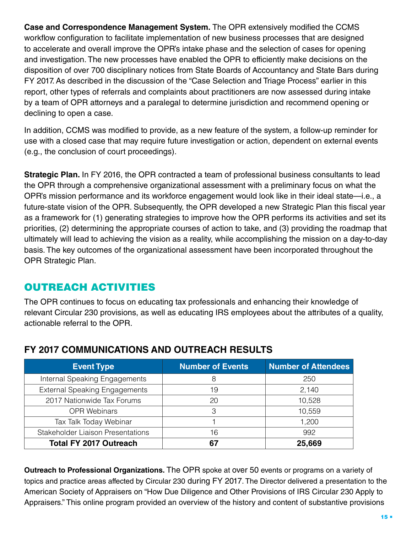**Case and Correspondence Management System.** The OPR extensively modified the CCMS workflow configuration to facilitate implementation of new business processes that are designed to accelerate and overall improve the OPR's intake phase and the selection of cases for opening and investigation. The new processes have enabled the OPR to efficiently make decisions on the disposition of over 700 disciplinary notices from State Boards of Accountancy and State Bars during FY 2017. As described in the discussion of the "Case Selection and Triage Process" earlier in this report, other types of referrals and complaints about practitioners are now assessed during intake by a team of OPR attorneys and a paralegal to determine jurisdiction and recommend opening or declining to open a case.

In addition, CCMS was modified to provide, as a new feature of the system, a follow-up reminder for use with a closed case that may require future investigation or action, dependent on external events (e.g., the conclusion of court proceedings).

**Strategic Plan.** In FY 2016, the OPR contracted a team of professional business consultants to lead the OPR through a comprehensive organizational assessment with a preliminary focus on what the OPR's mission performance and its workforce engagement would look like in their ideal state—i.e., a future-state vision of the OPR. Subsequently, the OPR developed a new Strategic Plan this fiscal year as a framework for (1) generating strategies to improve how the OPR performs its activities and set its priorities, (2) determining the appropriate courses of action to take, and (3) providing the roadmap that ultimately will lead to achieving the vision as a reality, while accomplishing the mission on a day-to-day basis. The key outcomes of the organizational assessment have been incorporated throughout the OPR Strategic Plan.

#### OUTREACH ACTIVITIES

The OPR continues to focus on educating tax professionals and enhancing their knowledge of relevant Circular 230 provisions, as well as educating IRS employees about the attributes of a quality, actionable referral to the OPR.

| <b>Event Type</b>                        | <b>Number of Events</b> | <b>Number of Attendees</b> |
|------------------------------------------|-------------------------|----------------------------|
| Internal Speaking Engagements            | 8                       | 250                        |
| <b>External Speaking Engagements</b>     | 19                      | 2,140                      |
| 2017 Nationwide Tax Forums               | 20                      | 10,528                     |
| <b>OPR Webinars</b>                      | З                       | 10,559                     |
| Tax Talk Today Webinar                   |                         | 1,200                      |
| <b>Stakeholder Liaison Presentations</b> | 16                      | 992                        |
| <b>Total FY 2017 Outreach</b>            |                         | 25,669                     |

#### **FY 2017 COMMUNICATIONS AND OUTREACH RESULTS**

**Outreach to Professional Organizations.** The OPR spoke at over 50 events or programs on a variety of topics and practice areas affected by Circular 230 during FY 2017. The Director delivered a presentation to the American Society of Appraisers on "How Due Diligence and Other Provisions of IRS Circular 230 Apply to Appraisers." This online program provided an overview of the history and content of substantive provisions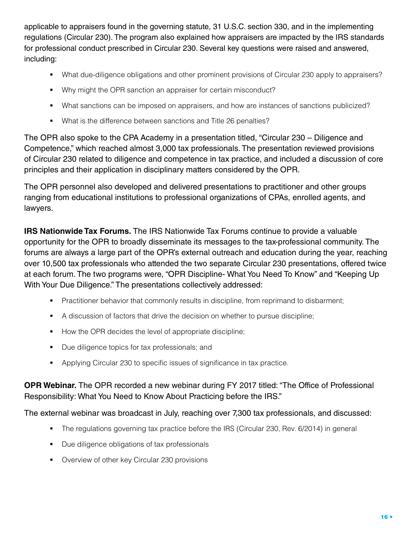applicable to appraisers found in the governing statute, 31 U.S.C. section 330, and in the implementing regulations (Circular 230). The program also explained how appraisers are impacted by the IRS standards for professional conduct prescribed in Circular 230. Several key questions were raised and answered, including:

- § What due-diligence obligations and other prominent provisions of Circular 230 apply to appraisers?
- Why might the OPR sanction an appraiser for certain misconduct?
- What sanctions can be imposed on appraisers, and how are instances of sanctions publicized?
- What is the difference between sanctions and Title 26 penalties?

The OPR also spoke to the CPA Academy in a presentation titled, "Circular 230 – Diligence and Competence," which reached almost 3,000 tax professionals. The presentation reviewed provisions of Circular 230 related to diligence and competence in tax practice, and included a discussion of core principles and their application in disciplinary matters considered by the OPR.

The OPR personnel also developed and delivered presentations to practitioner and other groups ranging from educational institutions to professional organizations of CPAs, enrolled agents, and lawyers.

**IRS Nationwide Tax Forums.** The IRS Nationwide Tax Forums continue to provide a valuable opportunity for the OPR to broadly disseminate its messages to the tax-professional community. The forums are always a large part of the OPR's external outreach and education during the year, reaching over 10,500 tax professionals who attended the two separate Circular 230 presentations, offered twice at each forum. The two programs were, "OPR Discipline- What You Need To Know" and "Keeping Up With Your Due Diligence." The presentations collectively addressed:

- Practitioner behavior that commonly results in discipline, from reprimand to disbarment;
- § A discussion of factors that drive the decision on whether to pursue discipline;
- How the OPR decides the level of appropriate discipline;
- Due diligence topics for tax professionals; and
- Applying Circular 230 to specific issues of significance in tax practice.

#### **OPR Webinar.** The OPR recorded a new webinar during FY 2017 titled: "The Office of Professional Responsibility: What You Need to Know About Practicing before the IRS."

#### The external webinar was broadcast in July, reaching over 7,300 tax professionals, and discussed:

- The regulations governing tax practice before the IRS (Circular 230, Rev. 6/2014) in general
- Due diligence obligations of tax professionals
- Overview of other key Circular 230 provisions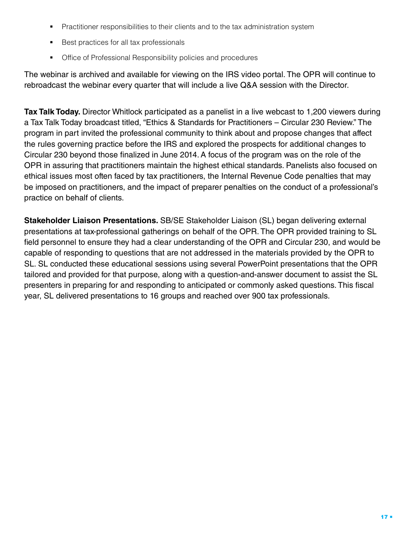- Practitioner responsibilities to their clients and to the tax administration system
- Best practices for all tax professionals
- Office of Professional Responsibility policies and procedures

The webinar is archived and available for viewing on the IRS video portal. The OPR will continue to rebroadcast the webinar every quarter that will include a live Q&A session with the Director.

**Tax Talk Today.** Director Whitlock participated as a panelist in a live webcast to 1,200 viewers during a Tax Talk Today broadcast titled, "Ethics & Standards for Practitioners – Circular 230 Review." The program in part invited the professional community to think about and propose changes that affect the rules governing practice before the IRS and explored the prospects for additional changes to Circular 230 beyond those finalized in June 2014. A focus of the program was on the role of the OPR in assuring that practitioners maintain the highest ethical standards. Panelists also focused on ethical issues most often faced by tax practitioners, the Internal Revenue Code penalties that may be imposed on practitioners, and the impact of preparer penalties on the conduct of a professional's practice on behalf of clients.

**Stakeholder Liaison Presentations.** SB/SE Stakeholder Liaison (SL) began delivering external presentations at tax-professional gatherings on behalf of the OPR. The OPR provided training to SL field personnel to ensure they had a clear understanding of the OPR and Circular 230, and would be capable of responding to questions that are not addressed in the materials provided by the OPR to SL. SL conducted these educational sessions using several PowerPoint presentations that the OPR tailored and provided for that purpose, along with a question-and-answer document to assist the SL presenters in preparing for and responding to anticipated or commonly asked questions. This fiscal year, SL delivered presentations to 16 groups and reached over 900 tax professionals.